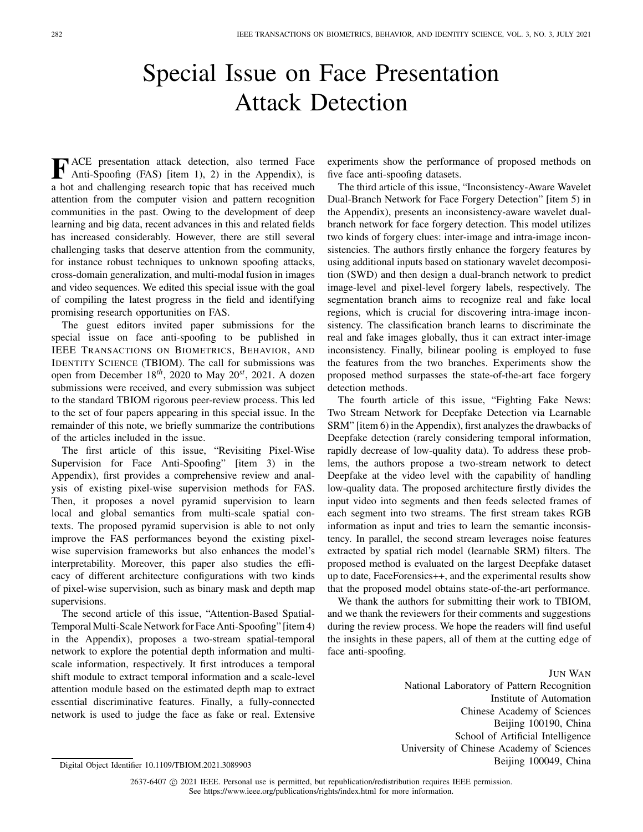## Special Issue on Face Presentation Attack Detection

**F** ACE presentation attack detection, also termed Face Anti-Spoofing (FAS) [item 1), 2) in the Appendix), is a hot and challenging research topic that has received much attention from the computer vision and pattern recognition communities in the past. Owing to the development of deep learning and big data, recent advances in this and related fields has increased considerably. However, there are still several challenging tasks that deserve attention from the community, for instance robust techniques to unknown spoofing attacks, cross-domain generalization, and multi-modal fusion in images and video sequences. We edited this special issue with the goal of compiling the latest progress in the field and identifying promising research opportunities on FAS.

The guest editors invited paper submissions for the special issue on face anti-spoofing to be published in IEEE TRANSACTIONS ON BIOMETRICS, BEHAVIOR, AND IDENTITY SCIENCE (TBIOM). The call for submissions was open from December 18*th*, 2020 to May 20*st*, 2021. A dozen submissions were received, and every submission was subject to the standard TBIOM rigorous peer-review process. This led to the set of four papers appearing in this special issue. In the remainder of this note, we briefly summarize the contributions of the articles included in the issue.

The first article of this issue, "Revisiting Pixel-Wise Supervision for Face Anti-Spoofing" [item 3) in the Appendix), first provides a comprehensive review and analysis of existing pixel-wise supervision methods for FAS. Then, it proposes a novel pyramid supervision to learn local and global semantics from multi-scale spatial contexts. The proposed pyramid supervision is able to not only improve the FAS performances beyond the existing pixelwise supervision frameworks but also enhances the model's interpretability. Moreover, this paper also studies the efficacy of different architecture configurations with two kinds of pixel-wise supervision, such as binary mask and depth map supervisions.

The second article of this issue, "Attention-Based Spatial-Temporal Multi-Scale Network for Face Anti-Spoofing" [item 4) in the Appendix), proposes a two-stream spatial-temporal network to explore the potential depth information and multiscale information, respectively. It first introduces a temporal shift module to extract temporal information and a scale-level attention module based on the estimated depth map to extract essential discriminative features. Finally, a fully-connected network is used to judge the face as fake or real. Extensive experiments show the performance of proposed methods on five face anti-spoofing datasets.

The third article of this issue, "Inconsistency-Aware Wavelet Dual-Branch Network for Face Forgery Detection" [item 5) in the Appendix), presents an inconsistency-aware wavelet dualbranch network for face forgery detection. This model utilizes two kinds of forgery clues: inter-image and intra-image inconsistencies. The authors firstly enhance the forgery features by using additional inputs based on stationary wavelet decomposition (SWD) and then design a dual-branch network to predict image-level and pixel-level forgery labels, respectively. The segmentation branch aims to recognize real and fake local regions, which is crucial for discovering intra-image inconsistency. The classification branch learns to discriminate the real and fake images globally, thus it can extract inter-image inconsistency. Finally, bilinear pooling is employed to fuse the features from the two branches. Experiments show the proposed method surpasses the state-of-the-art face forgery detection methods.

The fourth article of this issue, "Fighting Fake News: Two Stream Network for Deepfake Detection via Learnable SRM" [item 6) in the Appendix), first analyzes the drawbacks of Deepfake detection (rarely considering temporal information, rapidly decrease of low-quality data). To address these problems, the authors propose a two-stream network to detect Deepfake at the video level with the capability of handling low-quality data. The proposed architecture firstly divides the input video into segments and then feeds selected frames of each segment into two streams. The first stream takes RGB information as input and tries to learn the semantic inconsistency. In parallel, the second stream leverages noise features extracted by spatial rich model (learnable SRM) filters. The proposed method is evaluated on the largest Deepfake dataset up to date, FaceForensics++, and the experimental results show that the proposed model obtains state-of-the-art performance.

We thank the authors for submitting their work to TBIOM, and we thank the reviewers for their comments and suggestions during the review process. We hope the readers will find useful the insights in these papers, all of them at the cutting edge of face anti-spoofing.

JUN WAN

National Laboratory of Pattern Recognition Institute of Automation Chinese Academy of Sciences Beijing 100190, China School of Artificial Intelligence University of Chinese Academy of Sciences Beijing 100049, China

2637-6407 © 2021 IEEE. Personal use is permitted, but republication/redistribution requires IEEE permission. See https://www.ieee.org/publications/rights/index.html for more information.

Digital Object Identifier 10.1109/TBIOM.2021.3089903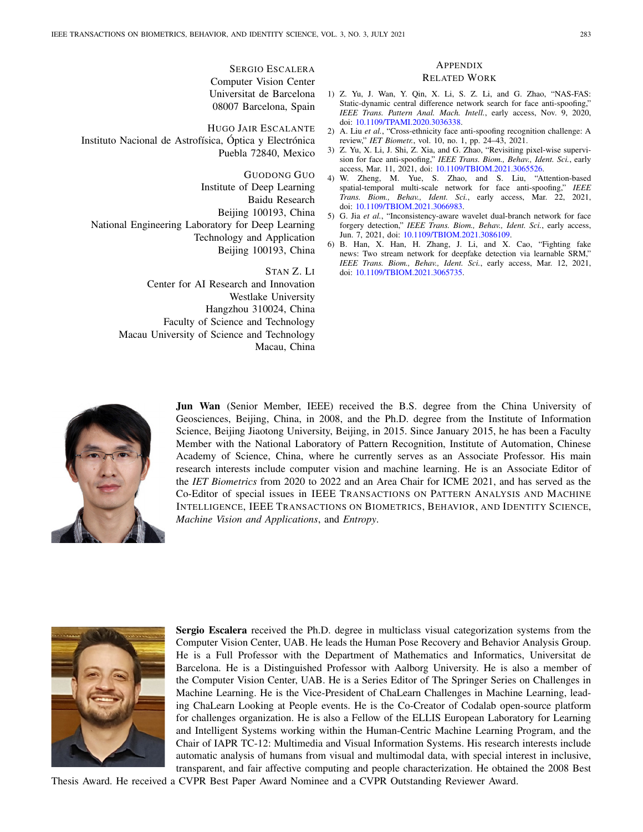SERGIO ESCALERA Computer Vision Center Universitat de Barcelona 08007 Barcelona, Spain

HUGO JAIR ESCALANTE Instituto Nacional de Astrofísica, Óptica y Electrónica Puebla 72840, Mexico

GUODONG GUO Institute of Deep Learning Baidu Research Beijing 100193, China National Engineering Laboratory for Deep Learning Technology and Application Beijing 100193, China

> STAN Z. LI Center for AI Research and Innovation Westlake University Hangzhou 310024, China Faculty of Science and Technology Macau University of Science and Technology Macau, China

## APPENDIX

## RELATED WORK

- 1) Z. Yu, J. Wan, Y. Qin, X. Li, S. Z. Li, and G. Zhao, "NAS-FAS: Static-dynamic central difference network search for face anti-spoofing," *IEEE Trans. Pattern Anal. Mach. Intell.*, early access, Nov. 9, 2020, doi: 10.1109/TPAMI.2020.3036338.
- 2) A. Liu *et al.*, "Cross-ethnicity face anti-spoofing recognition challenge: A review," *IET Biometr.*, vol. 10, no. 1, pp. 24–43, 2021.
- 3) Z. Yu, X. Li, J. Shi, Z. Xia, and G. Zhao, "Revisiting pixel-wise supervision for face anti-spoofing," *IEEE Trans. Biom., Behav., Ident. Sci.*, early access, Mar. 11, 2021, doi: 10.1109/TBIOM.2021.3065526.
- 4) W. Zheng, M. Yue, S. Zhao, and S. Liu, "Attention-based spatial-temporal multi-scale network for face anti-spoofing," *IEEE Trans. Biom., Behav., Ident. Sci.*, early access, Mar. 22, 2021, doi: 10.1109/TBIOM.2021.3066983.
- 5) G. Jia *et al.*, "Inconsistency-aware wavelet dual-branch network for face forgery detection," *IEEE Trans. Biom., Behav., Ident. Sci.*, early access, Jun. 7, 2021, doi: 10.1109/TBIOM.2021.3086109.
- 6) B. Han, X. Han, H. Zhang, J. Li, and X. Cao, "Fighting fake news: Two stream network for deepfake detection via learnable SRM," *IEEE Trans. Biom., Behav., Ident. Sci.*, early access, Mar. 12, 2021, doi: 10.1109/TBIOM.2021.3065735.



**Jun Wan** (Senior Member, IEEE) received the B.S. degree from the China University of Geosciences, Beijing, China, in 2008, and the Ph.D. degree from the Institute of Information Science, Beijing Jiaotong University, Beijing, in 2015. Since January 2015, he has been a Faculty Member with the National Laboratory of Pattern Recognition, Institute of Automation, Chinese Academy of Science, China, where he currently serves as an Associate Professor. His main research interests include computer vision and machine learning. He is an Associate Editor of the *IET Biometrics* from 2020 to 2022 and an Area Chair for ICME 2021, and has served as the Co-Editor of special issues in IEEE TRANSACTIONS ON PATTERN ANALYSIS AND MACHINE INTELLIGENCE, IEEE TRANSACTIONS ON BIOMETRICS, BEHAVIOR, AND IDENTITY SCIENCE, *Machine Vision and Applications*, and *Entropy*.



**Sergio Escalera** received the Ph.D. degree in multiclass visual categorization systems from the Computer Vision Center, UAB. He leads the Human Pose Recovery and Behavior Analysis Group. He is a Full Professor with the Department of Mathematics and Informatics, Universitat de Barcelona. He is a Distinguished Professor with Aalborg University. He is also a member of the Computer Vision Center, UAB. He is a Series Editor of The Springer Series on Challenges in Machine Learning. He is the Vice-President of ChaLearn Challenges in Machine Learning, leading ChaLearn Looking at People events. He is the Co-Creator of Codalab open-source platform for challenges organization. He is also a Fellow of the ELLIS European Laboratory for Learning and Intelligent Systems working within the Human-Centric Machine Learning Program, and the Chair of IAPR TC-12: Multimedia and Visual Information Systems. His research interests include automatic analysis of humans from visual and multimodal data, with special interest in inclusive, transparent, and fair affective computing and people characterization. He obtained the 2008 Best

Thesis Award. He received a CVPR Best Paper Award Nominee and a CVPR Outstanding Reviewer Award.